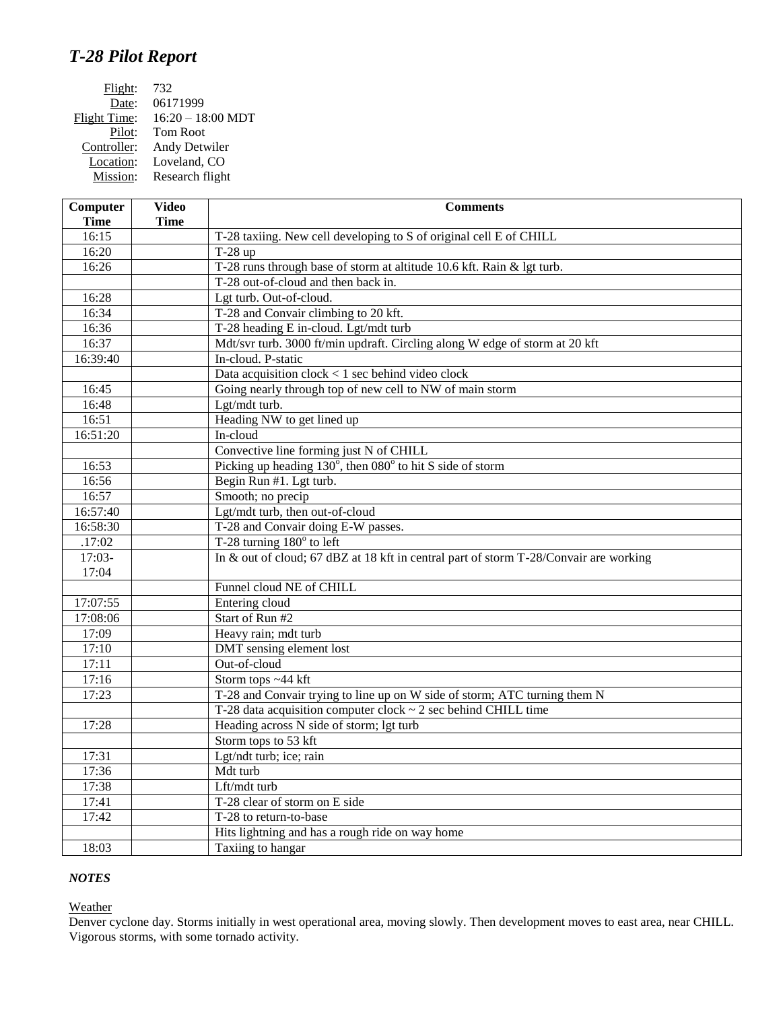## *T-28 Pilot Report*

| Flight:      | 732                 |
|--------------|---------------------|
| Date:        | 06171999            |
| Flight Time: | $16:20 - 18:00 MDT$ |
| Pilot:       | <b>Tom Root</b>     |
| Controller:  | Andy Detwiler       |
| Location:    | Loveland, CO        |
| Mission:     | Research flight     |

| Computer             | <b>Video</b> | <b>Comments</b>                                                                       |
|----------------------|--------------|---------------------------------------------------------------------------------------|
| <b>Time</b><br>16:15 | <b>Time</b>  | T-28 taxiing. New cell developing to S of original cell E of CHILL                    |
| 16:20                |              | T-28 up                                                                               |
| 16:26                |              | T-28 runs through base of storm at altitude 10.6 kft. Rain & lgt turb.                |
|                      |              | T-28 out-of-cloud and then back in.                                                   |
| 16:28                |              | Lgt turb. Out-of-cloud.                                                               |
| 16:34                |              | T-28 and Convair climbing to 20 kft.                                                  |
| 16:36                |              | T-28 heading E in-cloud. Lgt/mdt turb                                                 |
| 16:37                |              | Mdt/svr turb. 3000 ft/min updraft. Circling along W edge of storm at 20 kft           |
| 16:39:40             |              | In-cloud. P-static                                                                    |
|                      |              | Data acquisition $clock < 1$ sec behind video clock                                   |
| 16:45                |              | Going nearly through top of new cell to NW of main storm                              |
| 16:48                |              | Lgt/mdt turb.                                                                         |
| 16:51                |              | Heading NW to get lined up                                                            |
| 16:51:20             |              | In-cloud                                                                              |
|                      |              | Convective line forming just N of CHILL                                               |
| 16:53                |              | Picking up heading $130^{\circ}$ , then $080^{\circ}$ to hit S side of storm          |
| 16:56                |              | Begin Run #1. Lgt turb.                                                               |
| 16:57                |              | Smooth; no precip                                                                     |
|                      |              |                                                                                       |
| 16:57:40<br>16:58:30 |              | Lgt/mdt turb, then out-of-cloud<br>T-28 and Convair doing E-W passes.                 |
| .17:02               |              | T-28 turning $180^\circ$ to left                                                      |
| $17:03-$             |              | In & out of cloud; 67 dBZ at 18 kft in central part of storm T-28/Convair are working |
| 17:04                |              |                                                                                       |
|                      |              | Funnel cloud NE of CHILL                                                              |
| 17:07:55             |              | Entering cloud                                                                        |
| 17:08:06             |              | Start of Run #2                                                                       |
| 17:09                |              | Heavy rain; mdt turb                                                                  |
| 17:10                |              | DMT sensing element lost                                                              |
| 17:11                |              | Out-of-cloud                                                                          |
| 17:16                |              | Storm tops ~44 kft                                                                    |
| 17:23                |              | T-28 and Convair trying to line up on W side of storm; ATC turning them N             |
|                      |              | T-28 data acquisition computer clock $\sim$ 2 sec behind CHILL time                   |
| 17:28                |              | Heading across N side of storm; lgt turb                                              |
|                      |              | Storm tops to 53 kft                                                                  |
| 17:31                |              | Lgt/ndt turb; ice; rain                                                               |
| 17:36                |              | Mdt turb                                                                              |
| 17:38                |              | Lft/mdt turb                                                                          |
| 17:41                |              | T-28 clear of storm on E side                                                         |
| 17:42                |              | T-28 to return-to-base                                                                |
|                      |              | Hits lightning and has a rough ride on way home                                       |
| 18:03                |              | Taxiing to hangar                                                                     |
|                      |              |                                                                                       |

## *NOTES*

**Weather** 

Denver cyclone day. Storms initially in west operational area, moving slowly. Then development moves to east area, near CHILL. Vigorous storms, with some tornado activity.